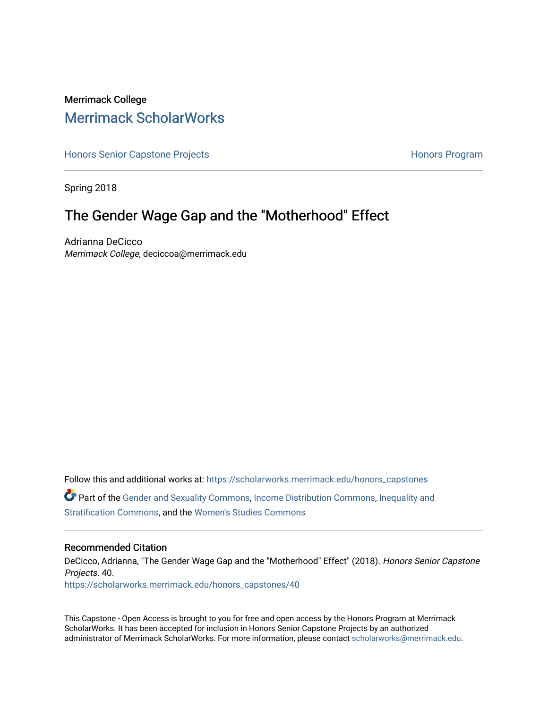# Merrimack College [Merrimack ScholarWorks](https://scholarworks.merrimack.edu/)

[Honors Senior Capstone Projects](https://scholarworks.merrimack.edu/honors_capstones) **Honors Program** Honors Program

Spring 2018

# The Gender Wage Gap and the "Motherhood" Effect

Adrianna DeCicco Merrimack College, deciccoa@merrimack.edu

Follow this and additional works at: [https://scholarworks.merrimack.edu/honors\\_capstones](https://scholarworks.merrimack.edu/honors_capstones?utm_source=scholarworks.merrimack.edu%2Fhonors_capstones%2F40&utm_medium=PDF&utm_campaign=PDFCoverPages) Part of the [Gender and Sexuality Commons](http://network.bepress.com/hgg/discipline/420?utm_source=scholarworks.merrimack.edu%2Fhonors_capstones%2F40&utm_medium=PDF&utm_campaign=PDFCoverPages), [Income Distribution Commons](http://network.bepress.com/hgg/discipline/1269?utm_source=scholarworks.merrimack.edu%2Fhonors_capstones%2F40&utm_medium=PDF&utm_campaign=PDFCoverPages), [Inequality and](http://network.bepress.com/hgg/discipline/421?utm_source=scholarworks.merrimack.edu%2Fhonors_capstones%2F40&utm_medium=PDF&utm_campaign=PDFCoverPages)  [Stratification Commons](http://network.bepress.com/hgg/discipline/421?utm_source=scholarworks.merrimack.edu%2Fhonors_capstones%2F40&utm_medium=PDF&utm_campaign=PDFCoverPages), and the [Women's Studies Commons](http://network.bepress.com/hgg/discipline/561?utm_source=scholarworks.merrimack.edu%2Fhonors_capstones%2F40&utm_medium=PDF&utm_campaign=PDFCoverPages) 

#### Recommended Citation

DeCicco, Adrianna, "The Gender Wage Gap and the "Motherhood" Effect" (2018). Honors Senior Capstone Projects. 40. [https://scholarworks.merrimack.edu/honors\\_capstones/40](https://scholarworks.merrimack.edu/honors_capstones/40?utm_source=scholarworks.merrimack.edu%2Fhonors_capstones%2F40&utm_medium=PDF&utm_campaign=PDFCoverPages) 

This Capstone - Open Access is brought to you for free and open access by the Honors Program at Merrimack ScholarWorks. It has been accepted for inclusion in Honors Senior Capstone Projects by an authorized administrator of Merrimack ScholarWorks. For more information, please contact [scholarworks@merrimack.edu](mailto:scholarworks@merrimack.edu).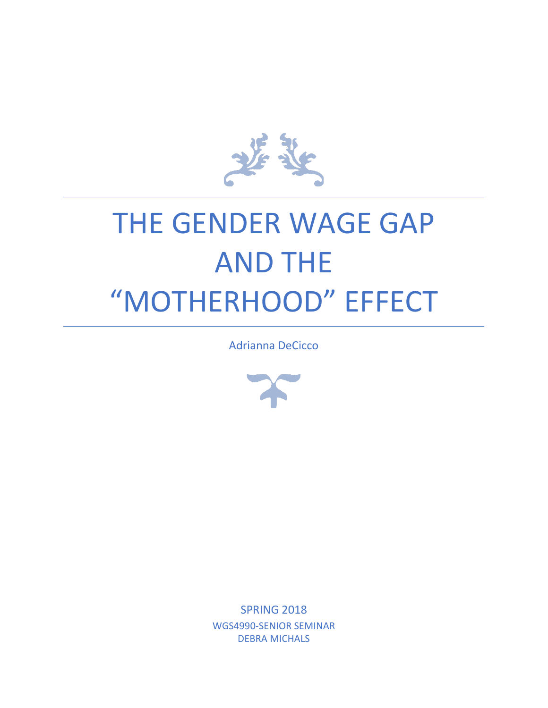

# THE GENDER WAGE GAP AND THE "MOTHERHOOD" EFFECT

Adrianna DeCicco



SPRING 2018 WGS4990-SENIOR SEMINAR DEBRA MICHALS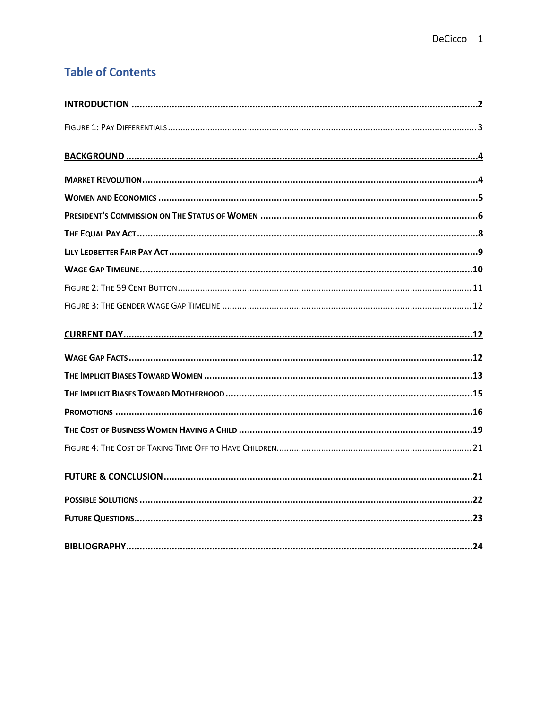# **Table of Contents**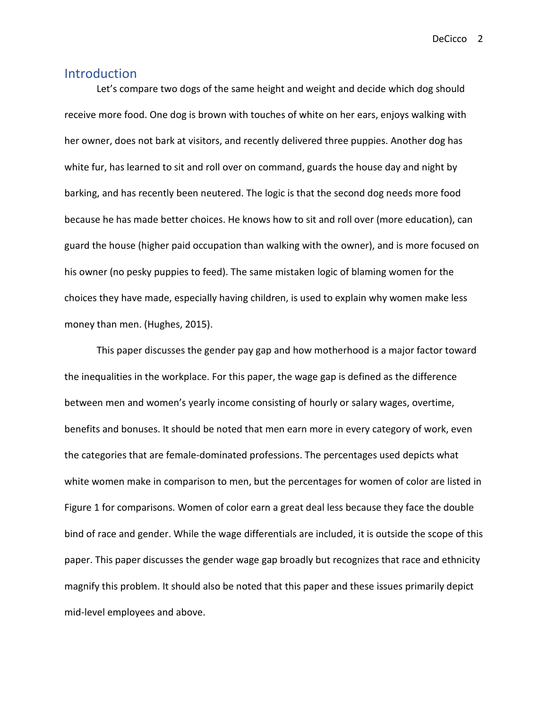#### <span id="page-3-0"></span>Introduction

Let's compare two dogs of the same height and weight and decide which dog should receive more food. One dog is brown with touches of white on her ears, enjoys walking with her owner, does not bark at visitors, and recently delivered three puppies. Another dog has white fur, has learned to sit and roll over on command, guards the house day and night by barking, and has recently been neutered. The logic is that the second dog needs more food because he has made better choices. He knows how to sit and roll over (more education), can guard the house (higher paid occupation than walking with the owner), and is more focused on his owner (no pesky puppies to feed). The same mistaken logic of blaming women for the choices they have made, especially having children, is used to explain why women make less money than men. (Hughes, 2015).

This paper discusses the gender pay gap and how motherhood is a major factor toward the inequalities in the workplace. For this paper, the wage gap is defined as the difference between men and women's yearly income consisting of hourly or salary wages, overtime, benefits and bonuses. It should be noted that men earn more in every category of work, even the categories that are female-dominated professions. The percentages used depicts what white women make in comparison to men, but the percentages for women of color are listed in Figure 1 for comparisons. Women of color earn a great deal less because they face the double bind of race and gender. While the wage differentials are included, it is outside the scope of this paper. This paper discusses the gender wage gap broadly but recognizes that race and ethnicity magnify this problem. It should also be noted that this paper and these issues primarily depict mid-level employees and above.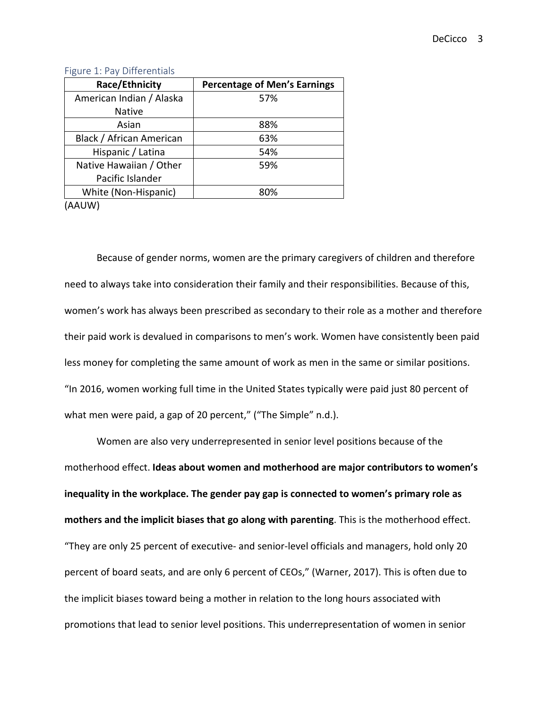| Race/Ethnicity           | <b>Percentage of Men's Earnings</b> |
|--------------------------|-------------------------------------|
| American Indian / Alaska | 57%                                 |
| <b>Native</b>            |                                     |
| Asian                    | 88%                                 |
| Black / African American | 63%                                 |
| Hispanic / Latina        | 54%                                 |
| Native Hawaiian / Other  | 59%                                 |
| Pacific Islander         |                                     |
| White (Non-Hispanic)     | 80%                                 |
|                          |                                     |

#### <span id="page-4-0"></span>Figure 1: Pay Differentials

(AAUW)

Because of gender norms, women are the primary caregivers of children and therefore need to always take into consideration their family and their responsibilities. Because of this, women's work has always been prescribed as secondary to their role as a mother and therefore their paid work is devalued in comparisons to men's work. Women have consistently been paid less money for completing the same amount of work as men in the same or similar positions. "In 2016, women working full time in the United States typically were paid just 80 percent of what men were paid, a gap of 20 percent," ("The Simple" n.d.).

Women are also very underrepresented in senior level positions because of the motherhood effect. **Ideas about women and motherhood are major contributors to women's inequality in the workplace. The gender pay gap is connected to women's primary role as mothers and the implicit biases that go along with parenting**. This is the motherhood effect. "They are only 25 percent of executive- and senior-level officials and managers, hold only 20 percent of board seats, and are only 6 percent of CEOs," (Warner, 2017). This is often due to the implicit biases toward being a mother in relation to the long hours associated with promotions that lead to senior level positions. This underrepresentation of women in senior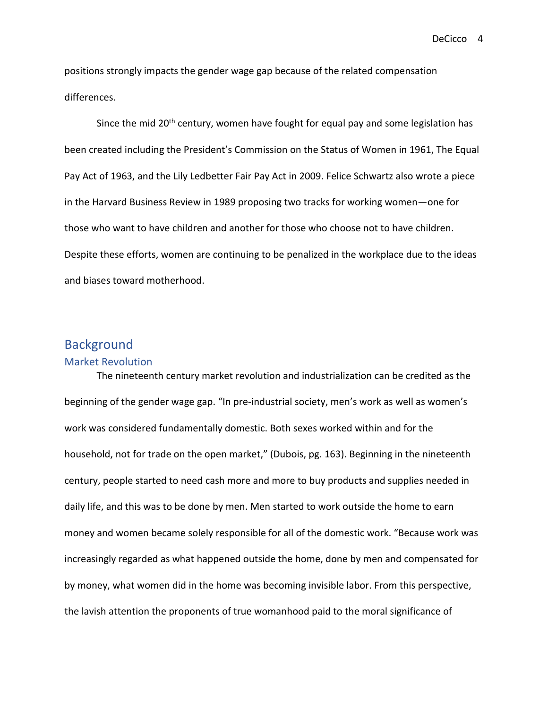positions strongly impacts the gender wage gap because of the related compensation differences.

Since the mid 20<sup>th</sup> century, women have fought for equal pay and some legislation has been created including the President's Commission on the Status of Women in 1961, The Equal Pay Act of 1963, and the Lily Ledbetter Fair Pay Act in 2009. Felice Schwartz also wrote a piece in the Harvard Business Review in 1989 proposing two tracks for working women—one for those who want to have children and another for those who choose not to have children. Despite these efforts, women are continuing to be penalized in the workplace due to the ideas and biases toward motherhood.

## <span id="page-5-0"></span>**Background**

#### <span id="page-5-1"></span>Market Revolution

The nineteenth century market revolution and industrialization can be credited as the beginning of the gender wage gap. "In pre-industrial society, men's work as well as women's work was considered fundamentally domestic. Both sexes worked within and for the household, not for trade on the open market," (Dubois, pg. 163). Beginning in the nineteenth century, people started to need cash more and more to buy products and supplies needed in daily life, and this was to be done by men. Men started to work outside the home to earn money and women became solely responsible for all of the domestic work. "Because work was increasingly regarded as what happened outside the home, done by men and compensated for by money, what women did in the home was becoming invisible labor. From this perspective, the lavish attention the proponents of true womanhood paid to the moral significance of

DeCicco 4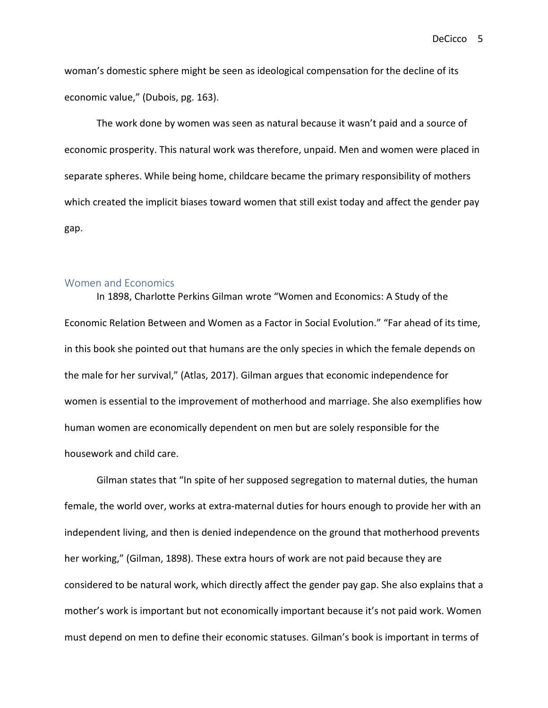woman's domestic sphere might be seen as ideological compensation for the decline of its economic value," (Dubois, pg. 163).

The work done by women was seen as natural because it wasn't paid and a source of economic prosperity. This natural work was therefore, unpaid. Men and women were placed in separate spheres. While being home, childcare became the primary responsibility of mothers which created the implicit biases toward women that still exist today and affect the gender pay gap.

#### <span id="page-6-0"></span>Women and Economics

In 1898, Charlotte Perkins Gilman wrote "Women and Economics: A Study of the Economic Relation Between and Women as a Factor in Social Evolution." "Far ahead of its time, in this book she pointed out that humans are the only species in which the female depends on the male for her survival," (Atlas, 2017). Gilman argues that economic independence for women is essential to the improvement of motherhood and marriage. She also exemplifies how human women are economically dependent on men but are solely responsible for the housework and child care.

Gilman states that "In spite of her supposed segregation to maternal duties, the human female, the world over, works at extra-maternal duties for hours enough to provide her with an independent living, and then is denied independence on the ground that motherhood prevents her working," (Gilman, 1898). These extra hours of work are not paid because they are considered to be natural work, which directly affect the gender pay gap. She also explains that a mother's work is important but not economically important because it's not paid work. Women must depend on men to define their economic statuses. Gilman's book is important in terms of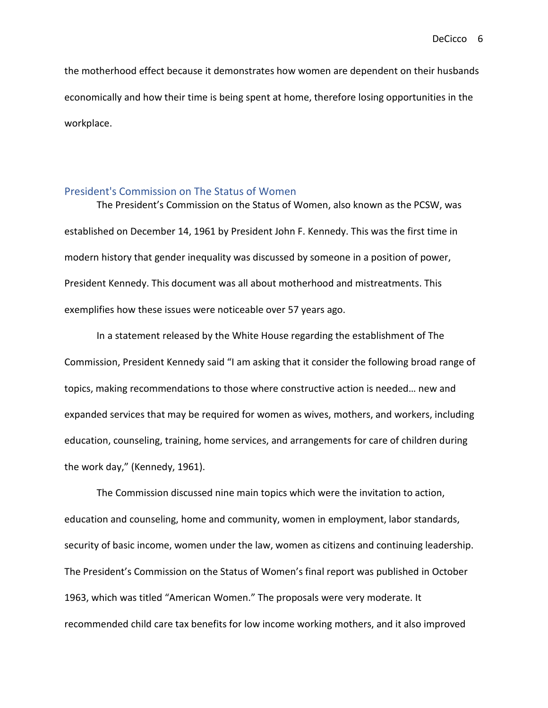the motherhood effect because it demonstrates how women are dependent on their husbands economically and how their time is being spent at home, therefore losing opportunities in the workplace.

#### <span id="page-7-0"></span>President's Commission on The Status of Women

 The President's Commission on the Status of Women, also known as the PCSW, was established on December 14, 1961 by President John F. Kennedy. This was the first time in modern history that gender inequality was discussed by someone in a position of power, President Kennedy. This document was all about motherhood and mistreatments. This exemplifies how these issues were noticeable over 57 years ago.

In a statement released by the White House regarding the establishment of The Commission, President Kennedy said "I am asking that it consider the following broad range of topics, making recommendations to those where constructive action is needed… new and expanded services that may be required for women as wives, mothers, and workers, including education, counseling, training, home services, and arrangements for care of children during the work day," (Kennedy, 1961).

The Commission discussed nine main topics which were the invitation to action, education and counseling, home and community, women in employment, labor standards, security of basic income, women under the law, women as citizens and continuing leadership. The President's Commission on the Status of Women's final report was published in October 1963, which was titled "American Women." The proposals were very moderate. It recommended child care tax benefits for low income working mothers, and it also improved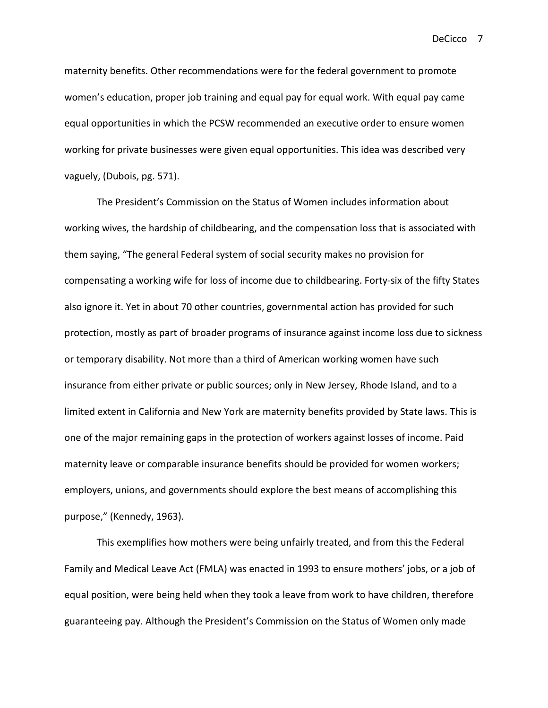maternity benefits. Other recommendations were for the federal government to promote women's education, proper job training and equal pay for equal work. With equal pay came equal opportunities in which the PCSW recommended an executive order to ensure women working for private businesses were given equal opportunities. This idea was described very vaguely, (Dubois, pg. 571).

The President's Commission on the Status of Women includes information about working wives, the hardship of childbearing, and the compensation loss that is associated with them saying, "The general Federal system of social security makes no provision for compensating a working wife for loss of income due to childbearing. Forty-six of the fifty States also ignore it. Yet in about 70 other countries, governmental action has provided for such protection, mostly as part of broader programs of insurance against income loss due to sickness or temporary disability. Not more than a third of American working women have such insurance from either private or public sources; only in New Jersey, Rhode Island, and to a limited extent in California and New York are maternity benefits provided by State laws. This is one of the major remaining gaps in the protection of workers against losses of income. Paid maternity leave or comparable insurance benefits should be provided for women workers; employers, unions, and governments should explore the best means of accomplishing this purpose," (Kennedy, 1963).

This exemplifies how mothers were being unfairly treated, and from this the Federal Family and Medical Leave Act (FMLA) was enacted in 1993 to ensure mothers' jobs, or a job of equal position, were being held when they took a leave from work to have children, therefore guaranteeing pay. Although the President's Commission on the Status of Women only made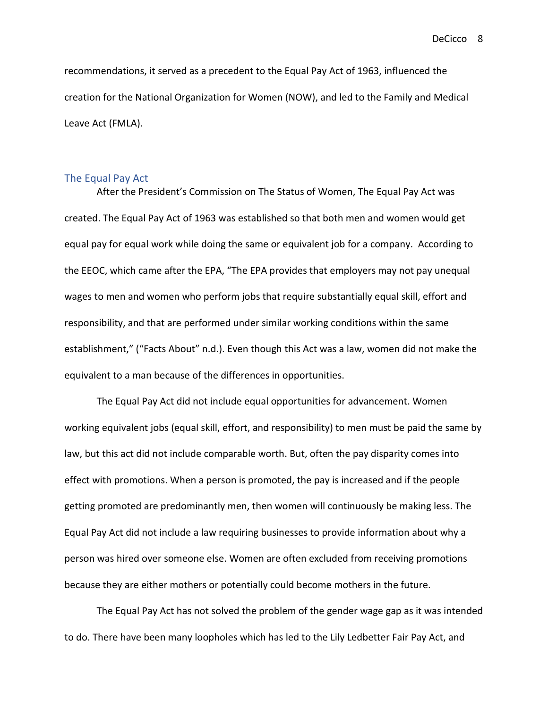recommendations, it served as a precedent to the Equal Pay Act of 1963, influenced the creation for the National Organization for Women (NOW), and led to the Family and Medical Leave Act (FMLA).

#### <span id="page-9-0"></span>The Equal Pay Act

After the President's Commission on The Status of Women, The Equal Pay Act was created. The Equal Pay Act of 1963 was established so that both men and women would get equal pay for equal work while doing the same or equivalent job for a company. According to the EEOC, which came after the EPA, "The EPA provides that employers may not pay unequal wages to men and women who perform jobs that require substantially equal skill, effort and responsibility, and that are performed under similar working conditions within the same establishment," ("Facts About" n.d.). Even though this Act was a law, women did not make the equivalent to a man because of the differences in opportunities.

The Equal Pay Act did not include equal opportunities for advancement. Women working equivalent jobs (equal skill, effort, and responsibility) to men must be paid the same by law, but this act did not include comparable worth. But, often the pay disparity comes into effect with promotions. When a person is promoted, the pay is increased and if the people getting promoted are predominantly men, then women will continuously be making less. The Equal Pay Act did not include a law requiring businesses to provide information about why a person was hired over someone else. Women are often excluded from receiving promotions because they are either mothers or potentially could become mothers in the future.

The Equal Pay Act has not solved the problem of the gender wage gap as it was intended to do. There have been many loopholes which has led to the Lily Ledbetter Fair Pay Act, and

DeCicco 8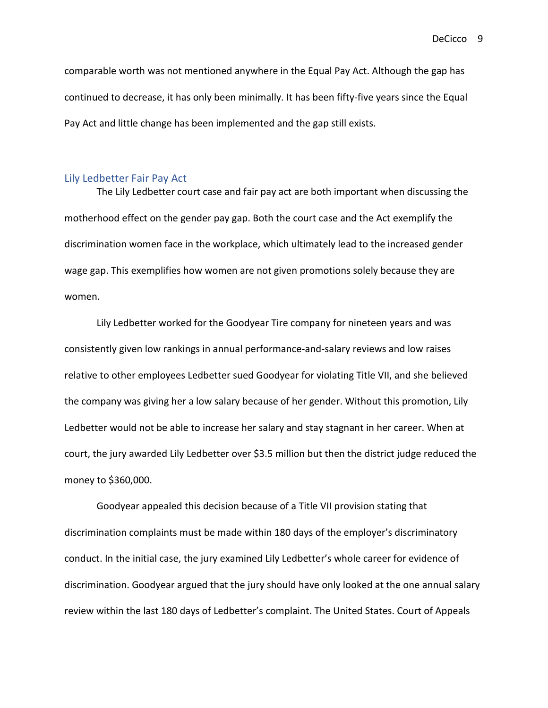comparable worth was not mentioned anywhere in the Equal Pay Act. Although the gap has continued to decrease, it has only been minimally. It has been fifty-five years since the Equal Pay Act and little change has been implemented and the gap still exists.

#### <span id="page-10-0"></span>Lily Ledbetter Fair Pay Act

The Lily Ledbetter court case and fair pay act are both important when discussing the motherhood effect on the gender pay gap. Both the court case and the Act exemplify the discrimination women face in the workplace, which ultimately lead to the increased gender wage gap. This exemplifies how women are not given promotions solely because they are women.

Lily Ledbetter worked for the Goodyear Tire company for nineteen years and was consistently given low rankings in annual performance-and-salary reviews and low raises relative to other employees Ledbetter sued Goodyear for violating Title VII, and she believed the company was giving her a low salary because of her gender. Without this promotion, Lily Ledbetter would not be able to increase her salary and stay stagnant in her career. When at court, the jury awarded Lily Ledbetter over \$3.5 million but then the district judge reduced the money to \$360,000.

Goodyear appealed this decision because of a Title VII provision stating that discrimination complaints must be made within 180 days of the employer's discriminatory conduct. In the initial case, the jury examined Lily Ledbetter's whole career for evidence of discrimination. Goodyear argued that the jury should have only looked at the one annual salary review within the last 180 days of Ledbetter's complaint. The United States. Court of Appeals

DeCicco 9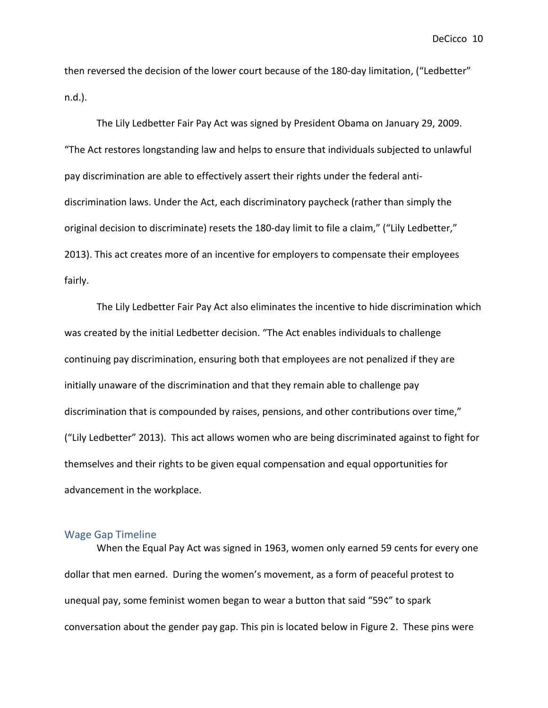then reversed the decision of the lower court because of the 180-day limitation, ("Ledbetter" n.d.).

The Lily Ledbetter Fair Pay Act was signed by President Obama on January 29, 2009. "The Act restores longstanding law and helps to ensure that individuals subjected to unlawful pay discrimination are able to effectively assert their rights under the federal antidiscrimination laws. Under the Act, each discriminatory paycheck (rather than simply the original decision to discriminate) resets the 180-day limit to file a claim," ("Lily Ledbetter," 2013). This act creates more of an incentive for employers to compensate their employees fairly.

The Lily Ledbetter Fair Pay Act also eliminates the incentive to hide discrimination which was created by the initial Ledbetter decision. "The Act enables individuals to challenge continuing pay discrimination, ensuring both that employees are not penalized if they are initially unaware of the discrimination and that they remain able to challenge pay discrimination that is compounded by raises, pensions, and other contributions over time," ("Lily Ledbetter" 2013). This act allows women who are being discriminated against to fight for themselves and their rights to be given equal compensation and equal opportunities for advancement in the workplace.

#### <span id="page-11-0"></span>Wage Gap Timeline

When the Equal Pay Act was signed in 1963, women only earned 59 cents for every one dollar that men earned. During the women's movement, as a form of peaceful protest to unequal pay, some feminist women began to wear a button that said "59¢" to spark conversation about the gender pay gap. This pin is located below in Figure 2. These pins were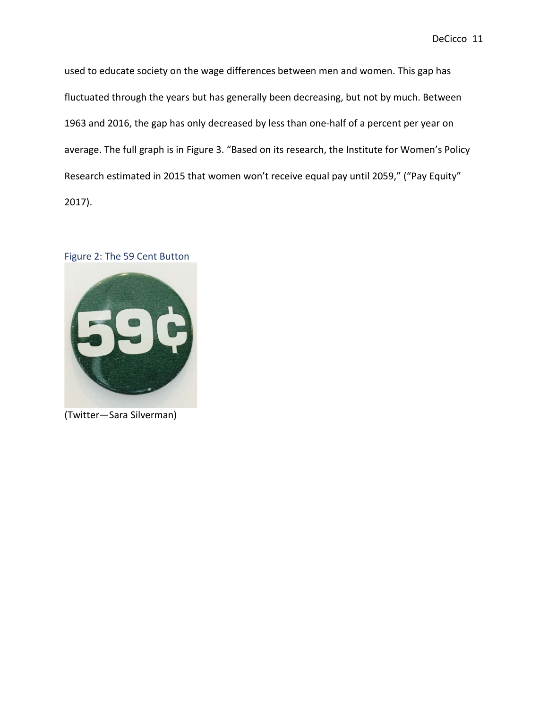used to educate society on the wage differences between men and women. This gap has fluctuated through the years but has generally been decreasing, but not by much. Between 1963 and 2016, the gap has only decreased by less than one-half of a percent per year on average. The full graph is in Figure 3. "Based on its research, the Institute for Women's Policy Research estimated in 2015 that women won't receive equal pay until 2059," ("Pay Equity" 2017).

#### <span id="page-12-0"></span>Figure 2: The 59 Cent Button



(Twitter—Sara Silverman)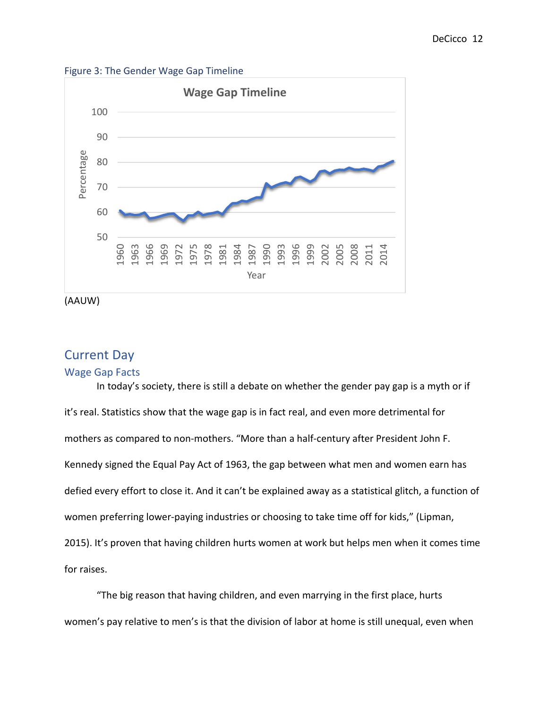<span id="page-13-0"></span>Figure 3: The Gender Wage Gap Timeline



(AAUW)

## <span id="page-13-1"></span>Current Day

#### <span id="page-13-2"></span>Wage Gap Facts

In today's society, there is still a debate on whether the gender pay gap is a myth or if it's real. Statistics show that the wage gap is in fact real, and even more detrimental for mothers as compared to non-mothers. "More than a half-century after President John F. Kennedy signed the Equal Pay Act of 1963, the gap between what men and women earn has defied every effort to close it. And it can't be explained away as a statistical glitch, a function of women preferring lower-paying industries or choosing to take time off for kids," (Lipman, 2015). It's proven that having children hurts women at work but helps men when it comes time for raises.

"The big reason that having children, and even marrying in the first place, hurts women's pay relative to men's is that the division of labor at home is still unequal, even when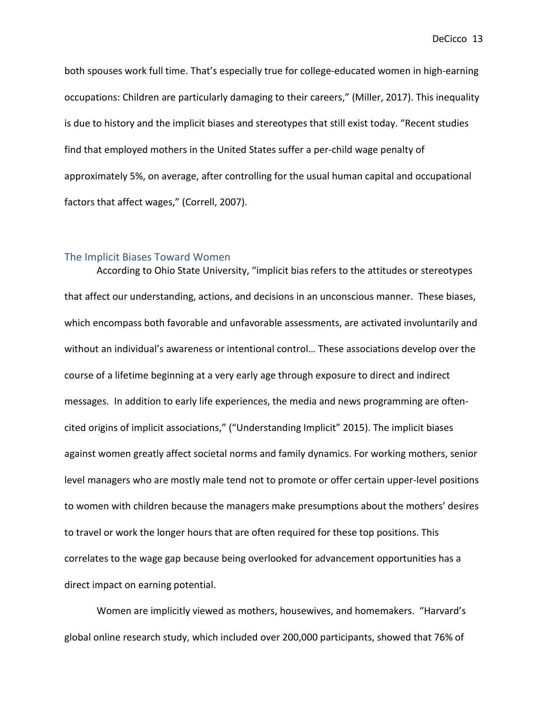both spouses work full time. That's especially true for college-educated women in high-earning occupations: Children are particularly damaging to their careers," (Miller, 2017). This inequality is due to history and the implicit biases and stereotypes that still exist today. "Recent studies find that employed mothers in the United States suffer a per-child wage penalty of approximately 5%, on average, after controlling for the usual human capital and occupational factors that affect wages," (Correll, 2007).

#### <span id="page-14-0"></span>The Implicit Biases Toward Women

According to Ohio State University, "implicit bias refers to the attitudes or stereotypes that affect our understanding, actions, and decisions in an unconscious manner. These biases, which encompass both favorable and unfavorable assessments, are activated involuntarily and without an individual's awareness or intentional control… These associations develop over the course of a lifetime beginning at a very early age through exposure to direct and indirect messages. In addition to early life experiences, the media and news programming are oftencited origins of implicit associations," ("Understanding Implicit" 2015). The implicit biases against women greatly affect societal norms and family dynamics. For working mothers, senior level managers who are mostly male tend not to promote or offer certain upper-level positions to women with children because the managers make presumptions about the mothers' desires to travel or work the longer hours that are often required for these top positions. This correlates to the wage gap because being overlooked for advancement opportunities has a direct impact on earning potential.

Women are implicitly viewed as mothers, housewives, and homemakers. "Harvard's global online research study, which included over 200,000 participants, showed that 76% of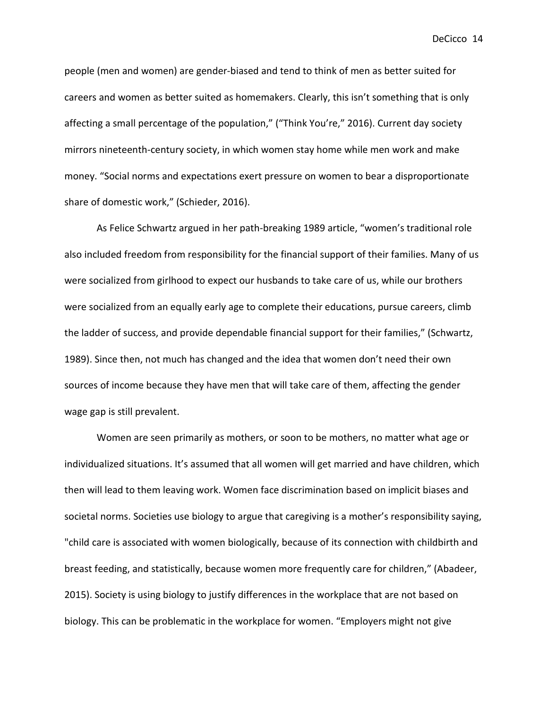people (men and women) are gender-biased and tend to think of men as better suited for careers and women as better suited as homemakers. Clearly, this isn't something that is only affecting a small percentage of the population," ("Think You're," 2016). Current day society mirrors nineteenth-century society, in which women stay home while men work and make money. "Social norms and expectations exert pressure on women to bear a disproportionate share of domestic work," (Schieder, 2016).

As Felice Schwartz argued in her path-breaking 1989 article, "women's traditional role also included freedom from responsibility for the financial support of their families. Many of us were socialized from girlhood to expect our husbands to take care of us, while our brothers were socialized from an equally early age to complete their educations, pursue careers, climb the ladder of success, and provide dependable financial support for their families," (Schwartz, 1989). Since then, not much has changed and the idea that women don't need their own sources of income because they have men that will take care of them, affecting the gender wage gap is still prevalent.

Women are seen primarily as mothers, or soon to be mothers, no matter what age or individualized situations. It's assumed that all women will get married and have children, which then will lead to them leaving work. Women face discrimination based on implicit biases and societal norms. Societies use biology to argue that caregiving is a mother's responsibility saying, "child care is associated with women biologically, because of its connection with childbirth and breast feeding, and statistically, because women more frequently care for children," (Abadeer, 2015). Society is using biology to justify differences in the workplace that are not based on biology. This can be problematic in the workplace for women. "Employers might not give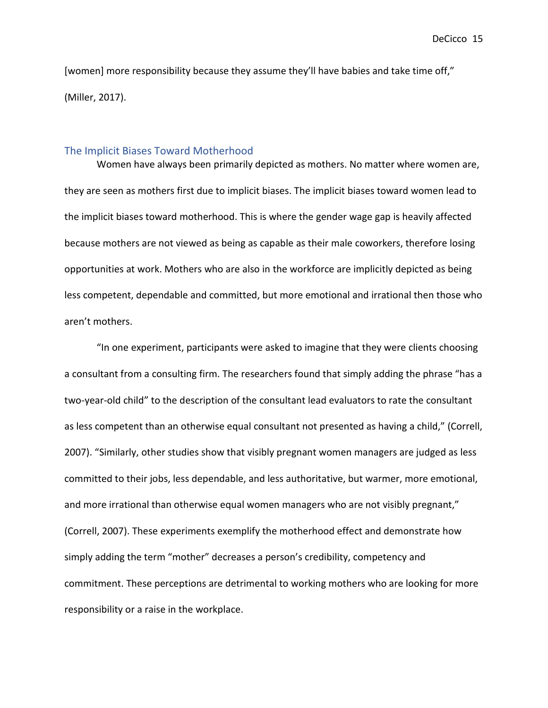[women] more responsibility because they assume they'll have babies and take time off," (Miller, 2017).

#### <span id="page-16-0"></span>The Implicit Biases Toward Motherhood

Women have always been primarily depicted as mothers. No matter where women are, they are seen as mothers first due to implicit biases. The implicit biases toward women lead to the implicit biases toward motherhood. This is where the gender wage gap is heavily affected because mothers are not viewed as being as capable as their male coworkers, therefore losing opportunities at work. Mothers who are also in the workforce are implicitly depicted as being less competent, dependable and committed, but more emotional and irrational then those who aren't mothers.

"In one experiment, participants were asked to imagine that they were clients choosing a consultant from a consulting firm. The researchers found that simply adding the phrase "has a two-year-old child" to the description of the consultant lead evaluators to rate the consultant as less competent than an otherwise equal consultant not presented as having a child," (Correll, 2007). "Similarly, other studies show that visibly pregnant women managers are judged as less committed to their jobs, less dependable, and less authoritative, but warmer, more emotional, and more irrational than otherwise equal women managers who are not visibly pregnant," (Correll, 2007). These experiments exemplify the motherhood effect and demonstrate how simply adding the term "mother" decreases a person's credibility, competency and commitment. These perceptions are detrimental to working mothers who are looking for more responsibility or a raise in the workplace.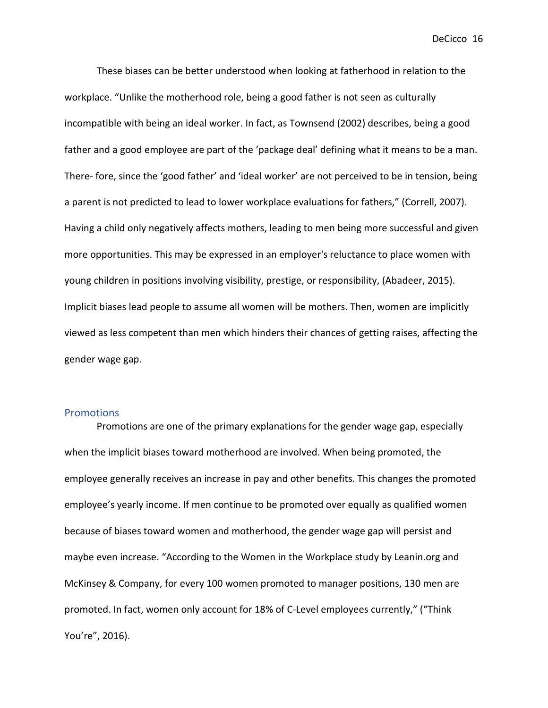These biases can be better understood when looking at fatherhood in relation to the workplace. "Unlike the motherhood role, being a good father is not seen as culturally incompatible with being an ideal worker. In fact, as Townsend (2002) describes, being a good father and a good employee are part of the 'package deal' defining what it means to be a man. There- fore, since the 'good father' and 'ideal worker' are not perceived to be in tension, being a parent is not predicted to lead to lower workplace evaluations for fathers," (Correll, 2007). Having a child only negatively affects mothers, leading to men being more successful and given more opportunities. This may be expressed in an employer's reluctance to place women with young children in positions involving visibility, prestige, or responsibility, (Abadeer, 2015). Implicit biases lead people to assume all women will be mothers. Then, women are implicitly viewed as less competent than men which hinders their chances of getting raises, affecting the gender wage gap.

#### <span id="page-17-0"></span>**Promotions**

Promotions are one of the primary explanations for the gender wage gap, especially when the implicit biases toward motherhood are involved. When being promoted, the employee generally receives an increase in pay and other benefits. This changes the promoted employee's yearly income. If men continue to be promoted over equally as qualified women because of biases toward women and motherhood, the gender wage gap will persist and maybe even increase. "According to the Women in the Workplace study by Leanin.org and McKinsey & Company, for every 100 women promoted to manager positions, 130 men are promoted. In fact, women only account for 18% of C-Level employees currently," ("Think You're", 2016).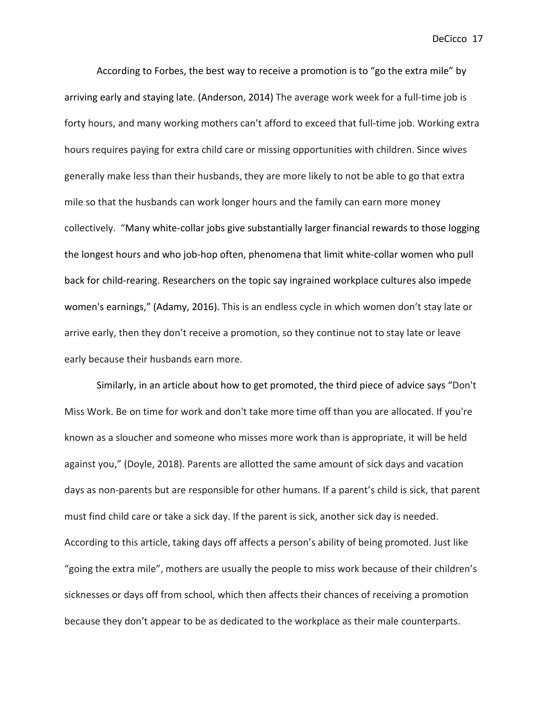According to Forbes, the best way to receive a promotion is to "go the extra mile" by arriving early and staying late. (Anderson, 2014) The average work week for a full-time job is forty hours, and many working mothers can't afford to exceed that full-time job. Working extra hours requires paying for extra child care or missing opportunities with children. Since wives generally make less than their husbands, they are more likely to not be able to go that extra mile so that the husbands can work longer hours and the family can earn more money collectively. "Many white-collar jobs give substantially larger financial rewards to those logging the longest hours and who job-hop often, phenomena that limit white-collar women who pull back for child-rearing. Researchers on the topic say ingrained workplace cultures also impede women's earnings," (Adamy, 2016). This is an endless cycle in which women don't stay late or arrive early, then they don't receive a promotion, so they continue not to stay late or leave early because their husbands earn more.

Similarly, in an article about how to get promoted, the third piece of advice says "Don't Miss Work. Be on time for work and don't take more time off than you are allocated. If you're known as a sloucher and someone who misses more work than is appropriate, it will be held against you," (Doyle, 2018). Parents are allotted the same amount of sick days and vacation days as non-parents but are responsible for other humans. If a parent's child is sick, that parent must find child care or take a sick day. If the parent is sick, another sick day is needed. According to this article, taking days off affects a person's ability of being promoted. Just like "going the extra mile", mothers are usually the people to miss work because of their children's sicknesses or days off from school, which then affects their chances of receiving a promotion because they don't appear to be as dedicated to the workplace as their male counterparts.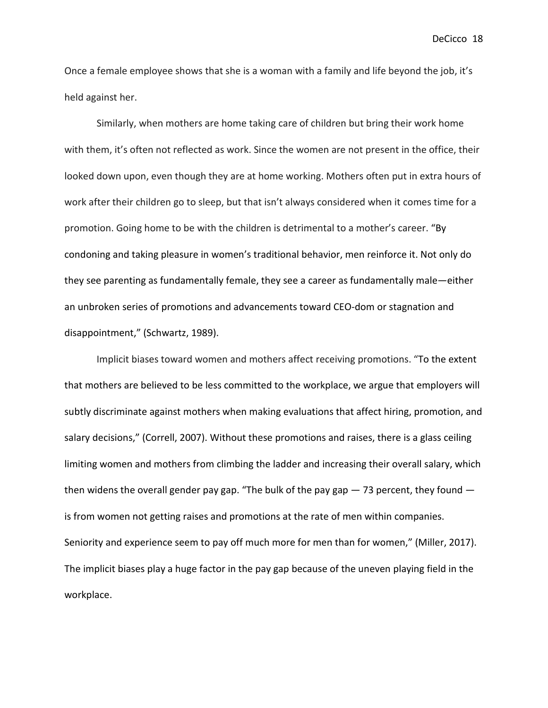Once a female employee shows that she is a woman with a family and life beyond the job, it's held against her.

Similarly, when mothers are home taking care of children but bring their work home with them, it's often not reflected as work. Since the women are not present in the office, their looked down upon, even though they are at home working. Mothers often put in extra hours of work after their children go to sleep, but that isn't always considered when it comes time for a promotion. Going home to be with the children is detrimental to a mother's career. "By condoning and taking pleasure in women's traditional behavior, men reinforce it. Not only do they see parenting as fundamentally female, they see a career as fundamentally male—either an unbroken series of promotions and advancements toward CEO-dom or stagnation and disappointment," (Schwartz, 1989).

Implicit biases toward women and mothers affect receiving promotions. "To the extent that mothers are believed to be less committed to the workplace, we argue that employers will subtly discriminate against mothers when making evaluations that affect hiring, promotion, and salary decisions," (Correll, 2007). Without these promotions and raises, there is a glass ceiling limiting women and mothers from climbing the ladder and increasing their overall salary, which then widens the overall gender pay gap. "The bulk of the pay gap — 73 percent, they found is from women not getting raises and promotions at the rate of men within companies. Seniority and experience seem to pay off much more for men than for women," (Miller, 2017). The implicit biases play a huge factor in the pay gap because of the uneven playing field in the workplace.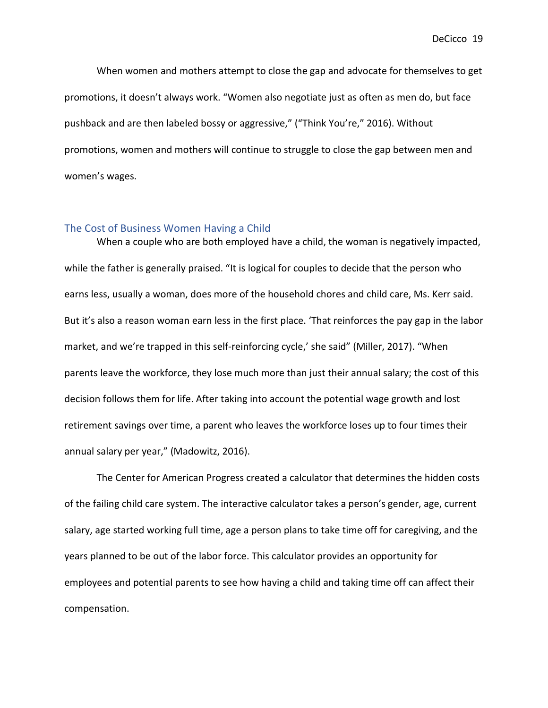When women and mothers attempt to close the gap and advocate for themselves to get promotions, it doesn't always work. "Women also negotiate just as often as men do, but face pushback and are then labeled bossy or aggressive," ("Think You're," 2016). Without promotions, women and mothers will continue to struggle to close the gap between men and women's wages.

#### <span id="page-20-0"></span>The Cost of Business Women Having a Child

When a couple who are both employed have a child, the woman is negatively impacted, while the father is generally praised. "It is logical for couples to decide that the person who earns less, usually a woman, does more of the household chores and child care, Ms. Kerr said. But it's also a reason woman earn less in the first place. 'That reinforces the pay gap in the labor market, and we're trapped in this self-reinforcing cycle,' she said" (Miller, 2017). "When parents leave the workforce, they lose much more than just their annual salary; the cost of this decision follows them for life. After taking into account the potential wage growth and lost retirement savings over time, a parent who leaves the workforce loses up to four times their annual salary per year," (Madowitz, 2016).

The Center for American Progress created a calculator that determines the hidden costs of the failing child care system. The interactive calculator takes a person's gender, age, current salary, age started working full time, age a person plans to take time off for caregiving, and the years planned to be out of the labor force. This calculator provides an opportunity for employees and potential parents to see how having a child and taking time off can affect their compensation.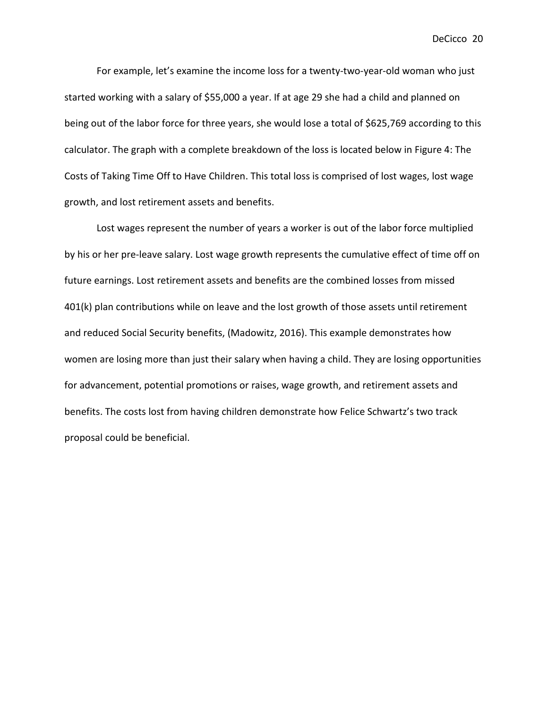For example, let's examine the income loss for a twenty-two-year-old woman who just started working with a salary of \$55,000 a year. If at age 29 she had a child and planned on being out of the labor force for three years, she would lose a total of \$625,769 according to this calculator. The graph with a complete breakdown of the loss is located below in Figure 4: The Costs of Taking Time Off to Have Children. This total loss is comprised of lost wages, lost wage growth, and lost retirement assets and benefits.

Lost wages represent the number of years a worker is out of the labor force multiplied by his or her pre-leave salary. Lost wage growth represents the cumulative effect of time off on future earnings. Lost retirement assets and benefits are the combined losses from missed 401(k) plan contributions while on leave and the lost growth of those assets until retirement and reduced Social Security benefits, (Madowitz, 2016). This example demonstrates how women are losing more than just their salary when having a child. They are losing opportunities for advancement, potential promotions or raises, wage growth, and retirement assets and benefits. The costs lost from having children demonstrate how Felice Schwartz's two track proposal could be beneficial.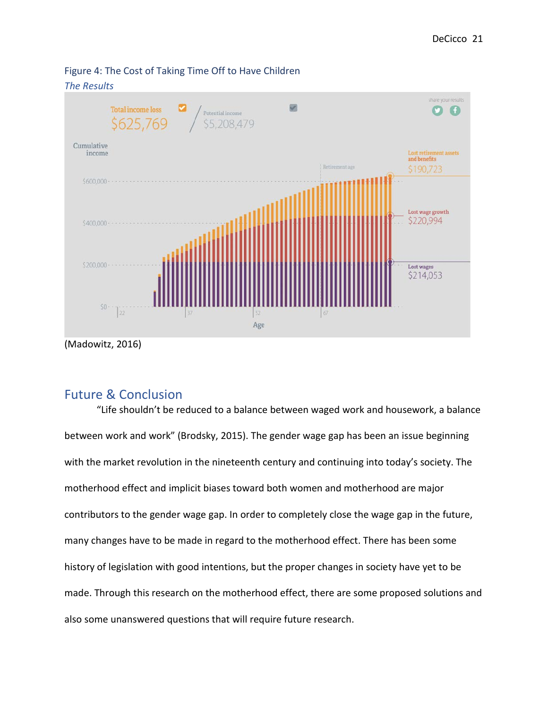

<span id="page-22-0"></span>Figure 4: The Cost of Taking Time Off to Have Children

## <span id="page-22-1"></span>Future & Conclusion

"Life shouldn't be reduced to a balance between waged work and housework, a balance between work and work" (Brodsky, 2015). The gender wage gap has been an issue beginning with the market revolution in the nineteenth century and continuing into today's society. The motherhood effect and implicit biases toward both women and motherhood are major contributors to the gender wage gap. In order to completely close the wage gap in the future, many changes have to be made in regard to the motherhood effect. There has been some history of legislation with good intentions, but the proper changes in society have yet to be made. Through this research on the motherhood effect, there are some proposed solutions and also some unanswered questions that will require future research.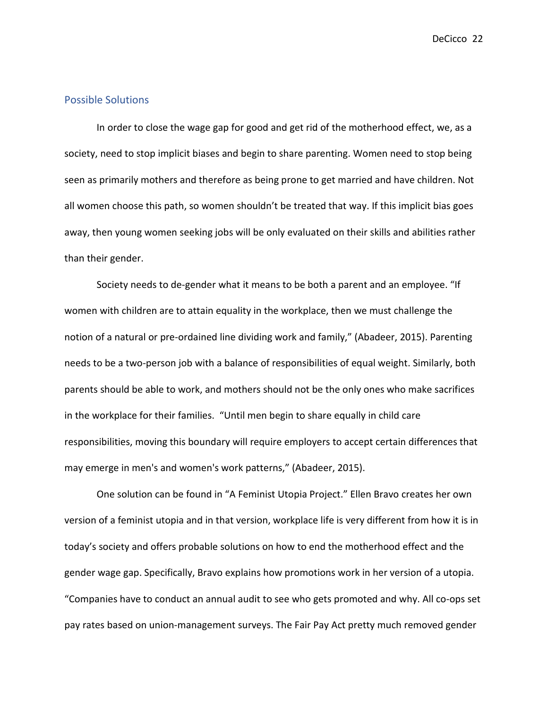#### <span id="page-23-0"></span>Possible Solutions

In order to close the wage gap for good and get rid of the motherhood effect, we, as a society, need to stop implicit biases and begin to share parenting. Women need to stop being seen as primarily mothers and therefore as being prone to get married and have children. Not all women choose this path, so women shouldn't be treated that way. If this implicit bias goes away, then young women seeking jobs will be only evaluated on their skills and abilities rather than their gender.

Society needs to de-gender what it means to be both a parent and an employee. "If women with children are to attain equality in the workplace, then we must challenge the notion of a natural or pre-ordained line dividing work and family," (Abadeer, 2015). Parenting needs to be a two-person job with a balance of responsibilities of equal weight. Similarly, both parents should be able to work, and mothers should not be the only ones who make sacrifices in the workplace for their families. "Until men begin to share equally in child care responsibilities, moving this boundary will require employers to accept certain differences that may emerge in men's and women's work patterns," (Abadeer, 2015).

One solution can be found in "A Feminist Utopia Project." Ellen Bravo creates her own version of a feminist utopia and in that version, workplace life is very different from how it is in today's society and offers probable solutions on how to end the motherhood effect and the gender wage gap. Specifically, Bravo explains how promotions work in her version of a utopia. "Companies have to conduct an annual audit to see who gets promoted and why. All co-ops set pay rates based on union-management surveys. The Fair Pay Act pretty much removed gender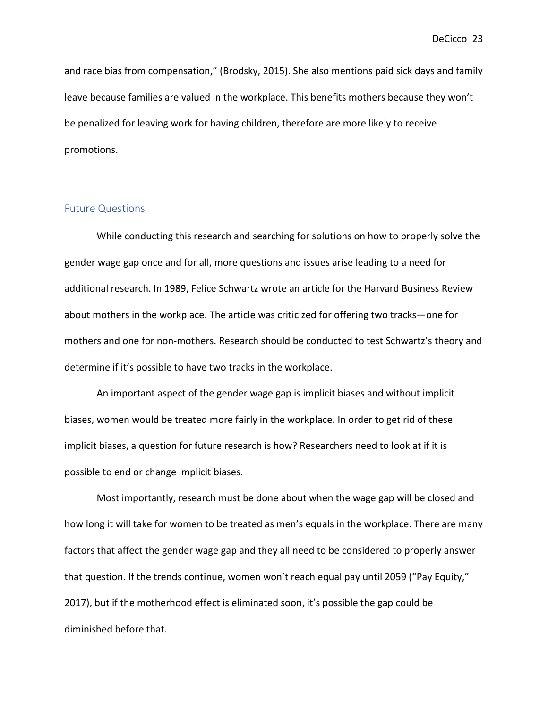and race bias from compensation," (Brodsky, 2015). She also mentions paid sick days and family leave because families are valued in the workplace. This benefits mothers because they won't be penalized for leaving work for having children, therefore are more likely to receive promotions.

#### <span id="page-24-0"></span>Future Questions

While conducting this research and searching for solutions on how to properly solve the gender wage gap once and for all, more questions and issues arise leading to a need for additional research. In 1989, Felice Schwartz wrote an article for the Harvard Business Review about mothers in the workplace. The article was criticized for offering two tracks—one for mothers and one for non-mothers. Research should be conducted to test Schwartz's theory and determine if it's possible to have two tracks in the workplace.

An important aspect of the gender wage gap is implicit biases and without implicit biases, women would be treated more fairly in the workplace. In order to get rid of these implicit biases, a question for future research is how? Researchers need to look at if it is possible to end or change implicit biases.

Most importantly, research must be done about when the wage gap will be closed and how long it will take for women to be treated as men's equals in the workplace. There are many factors that affect the gender wage gap and they all need to be considered to properly answer that question. If the trends continue, women won't reach equal pay until 2059 ("Pay Equity," 2017), but if the motherhood effect is eliminated soon, it's possible the gap could be diminished before that.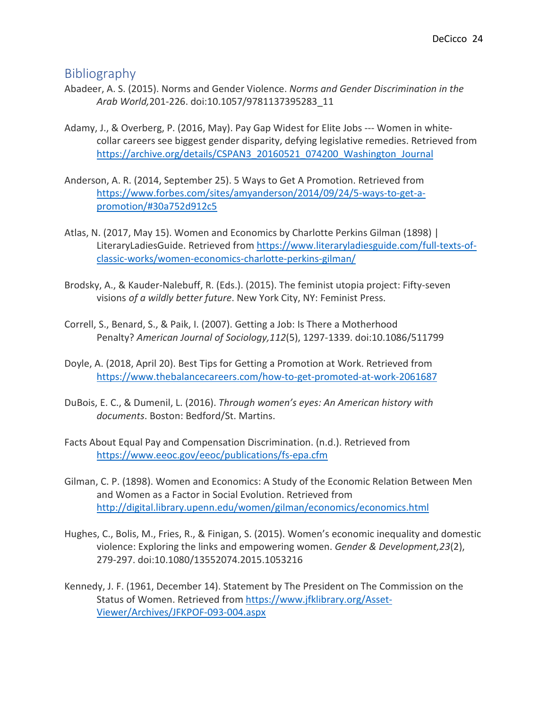## <span id="page-25-0"></span>Bibliography

- Abadeer, A. S. (2015). Norms and Gender Violence. *Norms and Gender Discrimination in the Arab World,*201-226. doi:10.1057/9781137395283\_11
- Adamy, J., & Overberg, P. (2016, May). Pay Gap Widest for Elite Jobs --- Women in whitecollar careers see biggest gender disparity, defying legislative remedies. Retrieved from [https://archive.org/details/CSPAN3\\_20160521\\_074200\\_Washington\\_Journal](https://archive.org/details/CSPAN3_20160521_074200_Washington_Journal)
- Anderson, A. R. (2014, September 25). 5 Ways to Get A Promotion. Retrieved from [https://www.forbes.com/sites/amyanderson/2014/09/24/5-ways-to-get-a](https://www.forbes.com/sites/amyanderson/2014/09/24/5-ways-to-get-a-%09promotion/#30a752d912c5)[promotion/#30a752d912c5](https://www.forbes.com/sites/amyanderson/2014/09/24/5-ways-to-get-a-%09promotion/#30a752d912c5)
- Atlas, N. (2017, May 15). Women and Economics by Charlotte Perkins Gilman (1898) | LiteraryLadiesGuide. Retrieved from [https://www.literaryladiesguide.com/full-texts-of](https://www.literaryladiesguide.com/full-texts-of-%09classic-works/women-economics-charlotte-perkins-gilman/)[classic-works/women-economics-charlotte-perkins-gilman/](https://www.literaryladiesguide.com/full-texts-of-%09classic-works/women-economics-charlotte-perkins-gilman/)
- Brodsky, A., & Kauder-Nalebuff, R. (Eds.). (2015). The feminist utopia project: Fifty-seven visions *of a wildly better future*. New York City, NY: Feminist Press.
- Correll, S., Benard, S., & Paik, I. (2007). Getting a Job: Is There a Motherhood Penalty? *American Journal of Sociology,112*(5), 1297-1339. doi:10.1086/511799
- Doyle, A. (2018, April 20). Best Tips for Getting a Promotion at Work. Retrieved from <https://www.thebalancecareers.com/how-to-get-promoted-at-work-2061687>
- DuBois, E. C., & Dumenil, L. (2016). *Through women's eyes: An American history with documents*. Boston: Bedford/St. Martins.
- Facts About Equal Pay and Compensation Discrimination. (n.d.). Retrieved from <https://www.eeoc.gov/eeoc/publications/fs-epa.cfm>
- Gilman, C. P. (1898). Women and Economics: A Study of the Economic Relation Between Men and Women as a Factor in Social Evolution. Retrieved from <http://digital.library.upenn.edu/women/gilman/economics/economics.html>
- Hughes, C., Bolis, M., Fries, R., & Finigan, S. (2015). Women's economic inequality and domestic violence: Exploring the links and empowering women. *Gender & Development,23*(2), 279-297. doi:10.1080/13552074.2015.1053216
- Kennedy, J. F. (1961, December 14). Statement by The President on The Commission on the Status of Women. Retrieved fro[m https://www.jfklibrary.org/Asset-](https://www.jfklibrary.org/Asset-%09Viewer/Archives/JFKPOF-093-004.aspx)[Viewer/Archives/JFKPOF-093-004.aspx](https://www.jfklibrary.org/Asset-%09Viewer/Archives/JFKPOF-093-004.aspx)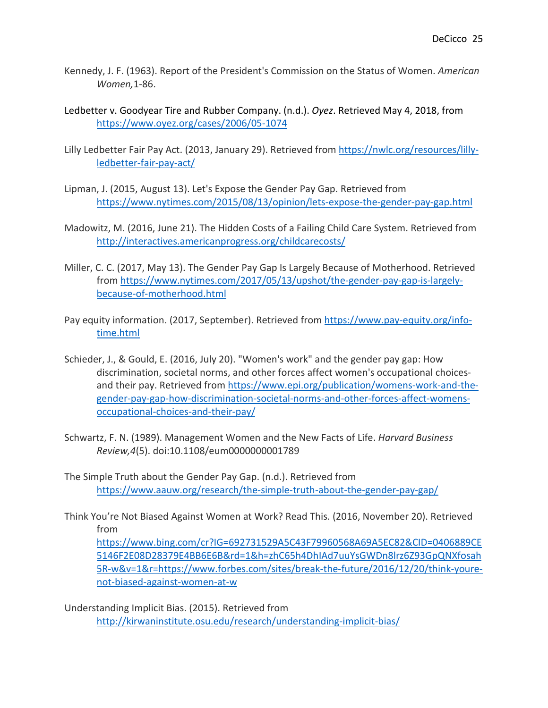- Kennedy, J. F. (1963). Report of the President's Commission on the Status of Women. *American Women,*1-86.
- Ledbetter v. Goodyear Tire and Rubber Company. (n.d.). *Oyez*. Retrieved May 4, 2018, from <https://www.oyez.org/cases/2006/05-1074>
- Lilly Ledbetter Fair Pay Act. (2013, January 29). Retrieved from [https://nwlc.org/resources/lilly](https://nwlc.org/resources/lilly-%09ledbetter-fair-pay-act/)[ledbetter-fair-pay-act/](https://nwlc.org/resources/lilly-%09ledbetter-fair-pay-act/)
- Lipman, J. (2015, August 13). Let's Expose the Gender Pay Gap. Retrieved from <https://www.nytimes.com/2015/08/13/opinion/lets-expose-the-gender-pay-gap.html>
- Madowitz, M. (2016, June 21). The Hidden Costs of a Failing Child Care System. Retrieved from <http://interactives.americanprogress.org/childcarecosts/>
- Miller, C. C. (2017, May 13). The Gender Pay Gap Is Largely Because of Motherhood. Retrieved from [https://www.nytimes.com/2017/05/13/upshot/the-gender-pay-gap-is-largely](https://www.nytimes.com/2017/05/13/upshot/the-gender-pay-gap-is-largely-%09because-of-motherhood.html)[because-of-motherhood.html](https://www.nytimes.com/2017/05/13/upshot/the-gender-pay-gap-is-largely-%09because-of-motherhood.html)
- Pay equity information. (2017, September). Retrieved from [https://www.pay-equity.org/info](https://www.pay-equity.org/info-%09time.html)[time.html](https://www.pay-equity.org/info-%09time.html)
- Schieder, J., & Gould, E. (2016, July 20). "Women's work" and the gender pay gap: How discrimination, societal norms, and other forces affect women's occupational choicesand their pay. Retrieved from [https://www.epi.org/publication/womens-work-and-the](https://www.epi.org/publication/womens-work-and-the-%09gender-pay-gap-how-discrimination-societal-norms-and-other-forces-affect-womens-%09occupational-choices-and-their-pay/)[gender-pay-gap-how-discrimination-societal-norms-and-other-forces-affect-womens](https://www.epi.org/publication/womens-work-and-the-%09gender-pay-gap-how-discrimination-societal-norms-and-other-forces-affect-womens-%09occupational-choices-and-their-pay/)[occupational-choices-and-their-pay/](https://www.epi.org/publication/womens-work-and-the-%09gender-pay-gap-how-discrimination-societal-norms-and-other-forces-affect-womens-%09occupational-choices-and-their-pay/)
- Schwartz, F. N. (1989). Management Women and the New Facts of Life. *Harvard Business Review,4*(5). doi:10.1108/eum0000000001789
- The Simple Truth about the Gender Pay Gap. (n.d.). Retrieved from <https://www.aauw.org/research/the-simple-truth-about-the-gender-pay-gap/>
- Think You're Not Biased Against Women at Work? Read This. (2016, November 20). Retrieved from

<https://www.bing.com/cr?IG=692731529A5C43F79960568A69A5EC82&CID=0406889CE> [5146F2E08D28379E4BB6E6B&rd=1&h=zhC65h4DhIAd7uuYsGWDn8lrz6Z93GpQNXfosah](https://www.bing.com/cr?IG=692731529A5C43F79960568A69A5EC82&CID=0406889CE) [5R-w&v=1&r=https://www.forbes.com/sites/break-the-future/2016/12/20/think-youre](https://www.bing.com/cr?IG=692731529A5C43F79960568A69A5EC82&CID=0406889CE)[not-biased-against-women-at-w](https://www.bing.com/cr?IG=692731529A5C43F79960568A69A5EC82&CID=0406889CE)

Understanding Implicit Bias. (2015). Retrieved from <http://kirwaninstitute.osu.edu/research/understanding-implicit-bias/>